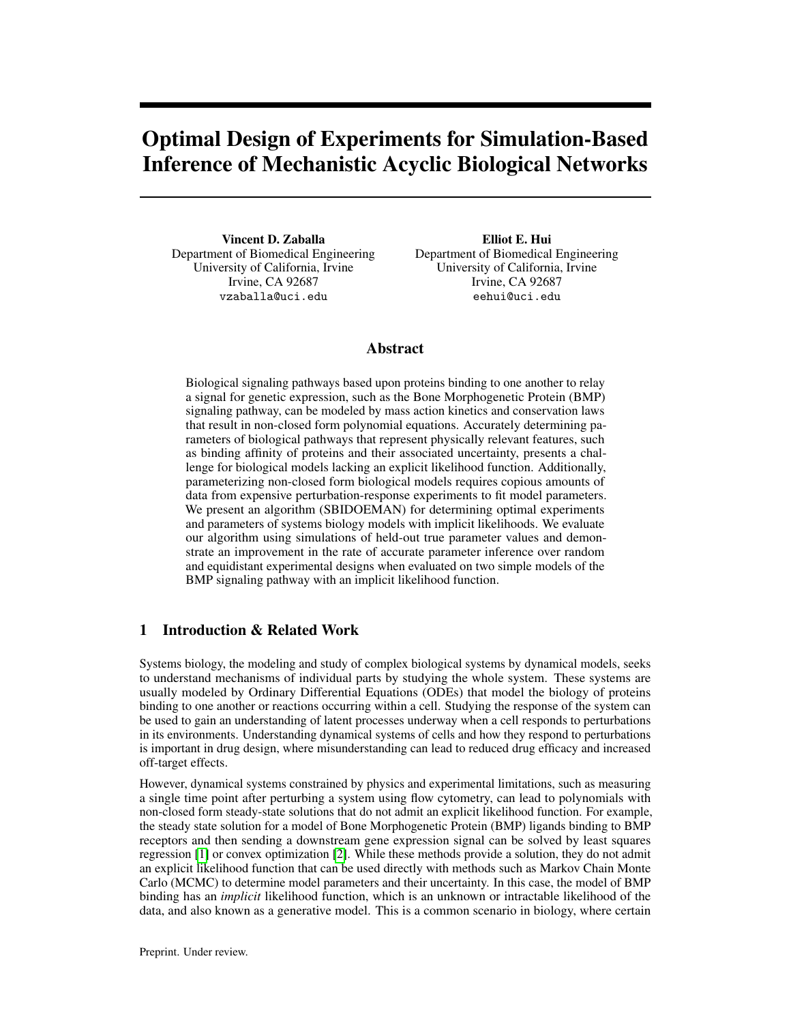# Optimal Design of Experiments for Simulation-Based Inference of Mechanistic Acyclic Biological Networks

Vincent D. Zaballa Department of Biomedical Engineering University of California, Irvine Irvine, CA 92687 vzaballa@uci.edu

Elliot E. Hui Department of Biomedical Engineering University of California, Irvine Irvine, CA 92687 eehui@uci.edu

## Abstract

Biological signaling pathways based upon proteins binding to one another to relay a signal for genetic expression, such as the Bone Morphogenetic Protein (BMP) signaling pathway, can be modeled by mass action kinetics and conservation laws that result in non-closed form polynomial equations. Accurately determining parameters of biological pathways that represent physically relevant features, such as binding affinity of proteins and their associated uncertainty, presents a challenge for biological models lacking an explicit likelihood function. Additionally, parameterizing non-closed form biological models requires copious amounts of data from expensive perturbation-response experiments to fit model parameters. We present an algorithm (SBIDOEMAN) for determining optimal experiments and parameters of systems biology models with implicit likelihoods. We evaluate our algorithm using simulations of held-out true parameter values and demonstrate an improvement in the rate of accurate parameter inference over random and equidistant experimental designs when evaluated on two simple models of the BMP signaling pathway with an implicit likelihood function.

### 1 Introduction & Related Work

Systems biology, the modeling and study of complex biological systems by dynamical models, seeks to understand mechanisms of individual parts by studying the whole system. These systems are usually modeled by Ordinary Differential Equations (ODEs) that model the biology of proteins binding to one another or reactions occurring within a cell. Studying the response of the system can be used to gain an understanding of latent processes underway when a cell responds to perturbations in its environments. Understanding dynamical systems of cells and how they respond to perturbations is important in drug design, where misunderstanding can lead to reduced drug efficacy and increased off-target effects.

However, dynamical systems constrained by physics and experimental limitations, such as measuring a single time point after perturbing a system using flow cytometry, can lead to polynomials with non-closed form steady-state solutions that do not admit an explicit likelihood function. For example, the steady state solution for a model of Bone Morphogenetic Protein (BMP) ligands binding to BMP receptors and then sending a downstream gene expression signal can be solved by least squares regression [\[1\]](#page-7-0) or convex optimization [\[2\]](#page-7-1). While these methods provide a solution, they do not admit an explicit likelihood function that can be used directly with methods such as Markov Chain Monte Carlo (MCMC) to determine model parameters and their uncertainty. In this case, the model of BMP binding has an *implicit* likelihood function, which is an unknown or intractable likelihood of the data, and also known as a generative model. This is a common scenario in biology, where certain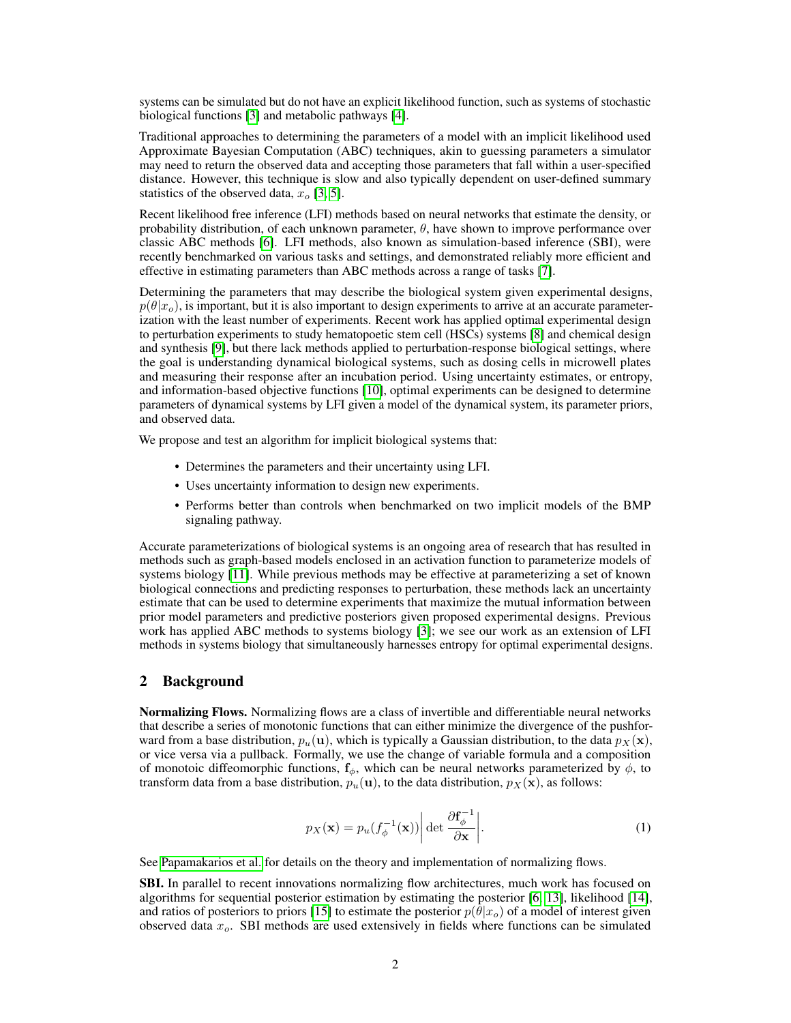systems can be simulated but do not have an explicit likelihood function, such as systems of stochastic biological functions [\[3\]](#page-7-2) and metabolic pathways [\[4\]](#page-7-3).

Traditional approaches to determining the parameters of a model with an implicit likelihood used Approximate Bayesian Computation (ABC) techniques, akin to guessing parameters a simulator may need to return the observed data and accepting those parameters that fall within a user-specified distance. However, this technique is slow and also typically dependent on user-defined summary statistics of the observed data,  $x<sub>o</sub>$  [\[3,](#page-7-2) [5\]](#page-7-4).

Recent likelihood free inference (LFI) methods based on neural networks that estimate the density, or probability distribution, of each unknown parameter,  $\theta$ , have shown to improve performance over classic ABC methods [\[6\]](#page-7-5). LFI methods, also known as simulation-based inference (SBI), were recently benchmarked on various tasks and settings, and demonstrated reliably more efficient and effective in estimating parameters than ABC methods across a range of tasks [\[7\]](#page-7-6).

Determining the parameters that may describe the biological system given experimental designs,  $p(\theta|x_0)$ , is important, but it is also important to design experiments to arrive at an accurate parameterization with the least number of experiments. Recent work has applied optimal experimental design to perturbation experiments to study hematopoetic stem cell (HSCs) systems [\[8\]](#page-7-7) and chemical design and synthesis [\[9\]](#page-7-8), but there lack methods applied to perturbation-response biological settings, where the goal is understanding dynamical biological systems, such as dosing cells in microwell plates and measuring their response after an incubation period. Using uncertainty estimates, or entropy, and information-based objective functions [\[10\]](#page-7-9), optimal experiments can be designed to determine parameters of dynamical systems by LFI given a model of the dynamical system, its parameter priors, and observed data.

We propose and test an algorithm for implicit biological systems that:

- Determines the parameters and their uncertainty using LFI.
- Uses uncertainty information to design new experiments.
- Performs better than controls when benchmarked on two implicit models of the BMP signaling pathway.

Accurate parameterizations of biological systems is an ongoing area of research that has resulted in methods such as graph-based models enclosed in an activation function to parameterize models of systems biology [\[11\]](#page-7-10). While previous methods may be effective at parameterizing a set of known biological connections and predicting responses to perturbation, these methods lack an uncertainty estimate that can be used to determine experiments that maximize the mutual information between prior model parameters and predictive posteriors given proposed experimental designs. Previous work has applied ABC methods to systems biology [\[3\]](#page-7-2); we see our work as an extension of LFI methods in systems biology that simultaneously harnesses entropy for optimal experimental designs.

#### 2 Background

**Normalizing Flows.** Normalizing flows are a class of invertible and differentiable neural networks that describe a series of monotonic functions that can either minimize the divergence of the pushforward from a base distribution,  $p_u(\mathbf{u})$ , which is typically a Gaussian distribution, to the data  $p_X(\mathbf{x})$ , or vice versa via a pullback. Formally, we use the change of variable formula and a composition of monotoic diffeomorphic functions,  $f_{\phi}$ , which can be neural networks parameterized by  $\phi$ , to transform data from a base distribution,  $p_u(\mathbf{u})$ , to the data distribution,  $p_X(\mathbf{x})$ , as follows:

$$
p_X(\mathbf{x}) = p_u(f_{\phi}^{-1}(\mathbf{x})) \left| \det \frac{\partial f_{\phi}^{-1}}{\partial \mathbf{x}} \right|.
$$
 (1)

See [Papamakarios et al.](#page-7-11) for details on the theory and implementation of normalizing flows.

**SBI.** In parallel to recent innovations normalizing flow architectures, much work has focused on algorithms for sequential posterior estimation by estimating the posterior [\[6,](#page-7-5) [13\]](#page-8-0), likelihood [\[14\]](#page-8-1), and ratios of posteriors to priors [\[15\]](#page-8-2) to estimate the posterior  $p(\theta|x_0)$  of a model of interest given observed data  $x<sub>o</sub>$ . SBI methods are used extensively in fields where functions can be simulated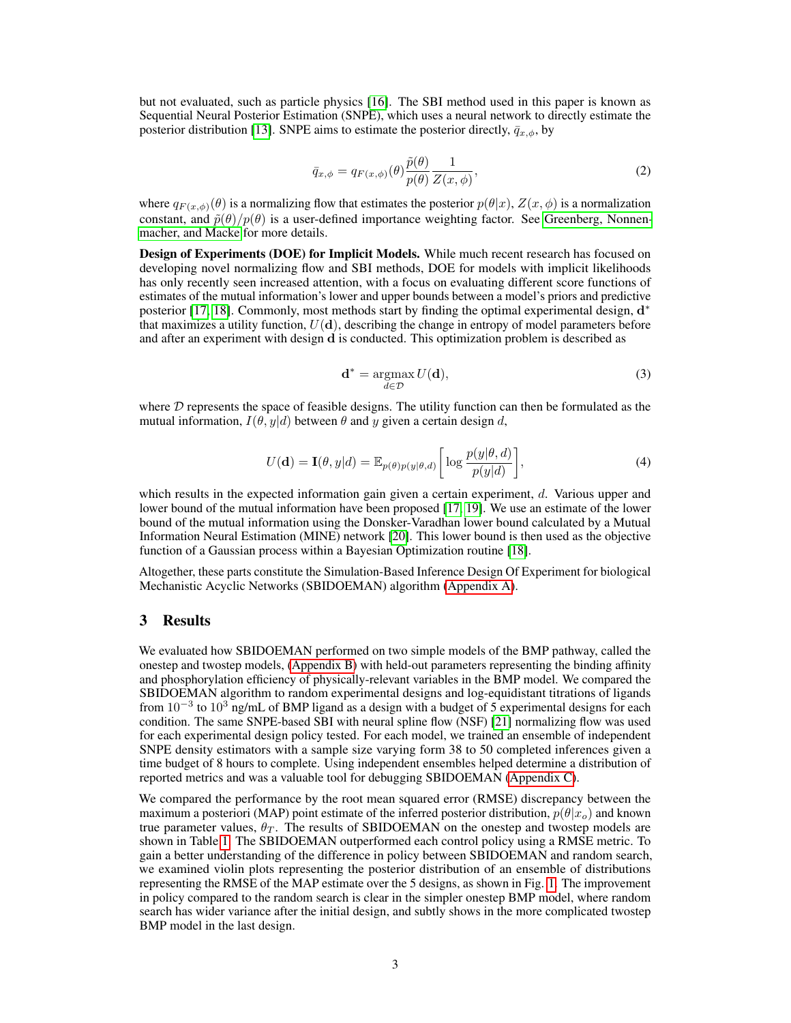<span id="page-2-1"></span>but not evaluated, such as particle physics [\[16\]](#page-8-3). The SBI method used in this paper is known as Sequential Neural Posterior Estimation (SNPE), which uses a neural network to directly estimate the posterior distribution [\[13\]](#page-8-0). SNPE aims to estimate the posterior directly,  $\bar{q}_{x,\phi}$ , by

$$
\bar{q}_{x,\phi} = q_{F(x,\phi)}(\theta) \frac{\tilde{p}(\theta)}{p(\theta)} \frac{1}{Z(x,\phi)},\tag{2}
$$

where  $q_{F(x,\phi)}(\theta)$  is a normalizing flow that estimates the posterior  $p(\theta|x)$ ,  $Z(x,\phi)$  is a normalization constant, and  $\tilde{p}(\theta)/p(\theta)$  is a user-defined importance weighting factor. See [Greenberg, Nonnen](#page-8-0)[macher, and Macke](#page-8-0) for more details.

Design of Experiments (DOE) for Implicit Models. While much recent research has focused on developing novel normalizing flow and SBI methods, DOE for models with implicit likelihoods has only recently seen increased attention, with a focus on evaluating different score functions of estimates of the mutual information's lower and upper bounds between a model's priors and predictive posterior [\[17,](#page-8-4) [18\]](#page-8-5). Commonly, most methods start by finding the optimal experimental design,  $d^*$ that maximizes a utility function,  $U(\mathbf{d})$ , describing the change in entropy of model parameters before and after an experiment with design d is conducted. This optimization problem is described as

$$
\mathbf{d}^* = \underset{d \in \mathcal{D}}{\operatorname{argmax}} \, U(\mathbf{d}),\tag{3}
$$

<span id="page-2-0"></span>where  $D$  represents the space of feasible designs. The utility function can then be formulated as the mutual information,  $I(\theta, y|d)$  between  $\theta$  and y given a certain design d,

$$
U(\mathbf{d}) = \mathbf{I}(\theta, y|d) = \mathbb{E}_{p(\theta)p(y|\theta, d)} \left[ \log \frac{p(y|\theta, d)}{p(y|d)} \right],\tag{4}
$$

which results in the expected information gain given a certain experiment, d. Various upper and lower bound of the mutual information have been proposed [\[17,](#page-8-4) [19\]](#page-8-6). We use an estimate of the lower bound of the mutual information using the Donsker-Varadhan lower bound calculated by a Mutual Information Neural Estimation (MINE) network [\[20\]](#page-8-7). This lower bound is then used as the objective function of a Gaussian process within a Bayesian Optimization routine [\[18\]](#page-8-5).

Altogether, these parts constitute the Simulation-Based Inference Design Of Experiment for biological Mechanistic Acyclic Networks (SBIDOEMAN) algorithm [\(Appendix A\)](#page-4-0).

#### 3 Results

We evaluated how SBIDOEMAN performed on two simple models of the BMP pathway, called the onestep and twostep models, [\(Appendix B\)](#page-5-0) with held-out parameters representing the binding affinity and phosphorylation efficiency of physically-relevant variables in the BMP model. We compared the SBIDOEMAN algorithm to random experimental designs and log-equidistant titrations of ligands from  $10^{-3}$  to  $10^{3}$  ng/mL of BMP ligand as a design with a budget of 5 experimental designs for each condition. The same SNPE-based SBI with neural spline flow (NSF) [\[21\]](#page-8-8) normalizing flow was used for each experimental design policy tested. For each model, we trained an ensemble of independent SNPE density estimators with a sample size varying form 38 to 50 completed inferences given a time budget of 8 hours to complete. Using independent ensembles helped determine a distribution of reported metrics and was a valuable tool for debugging SBIDOEMAN [\(Appendix C\)](#page-6-0).

We compared the performance by the root mean squared error (RMSE) discrepancy between the maximum a posteriori (MAP) point estimate of the inferred posterior distribution,  $p(\theta|x_o)$  and known true parameter values,  $\theta_T$ . The results of SBIDOEMAN on the onestep and twostep models are shown in Table [1.](#page-3-0) The SBIDOEMAN outperformed each control policy using a RMSE metric. To gain a better understanding of the difference in policy between SBIDOEMAN and random search, we examined violin plots representing the posterior distribution of an ensemble of distributions representing the RMSE of the MAP estimate over the 5 designs, as shown in Fig. [1.](#page-3-1) The improvement in policy compared to the random search is clear in the simpler onestep BMP model, where random search has wider variance after the initial design, and subtly shows in the more complicated twostep BMP model in the last design.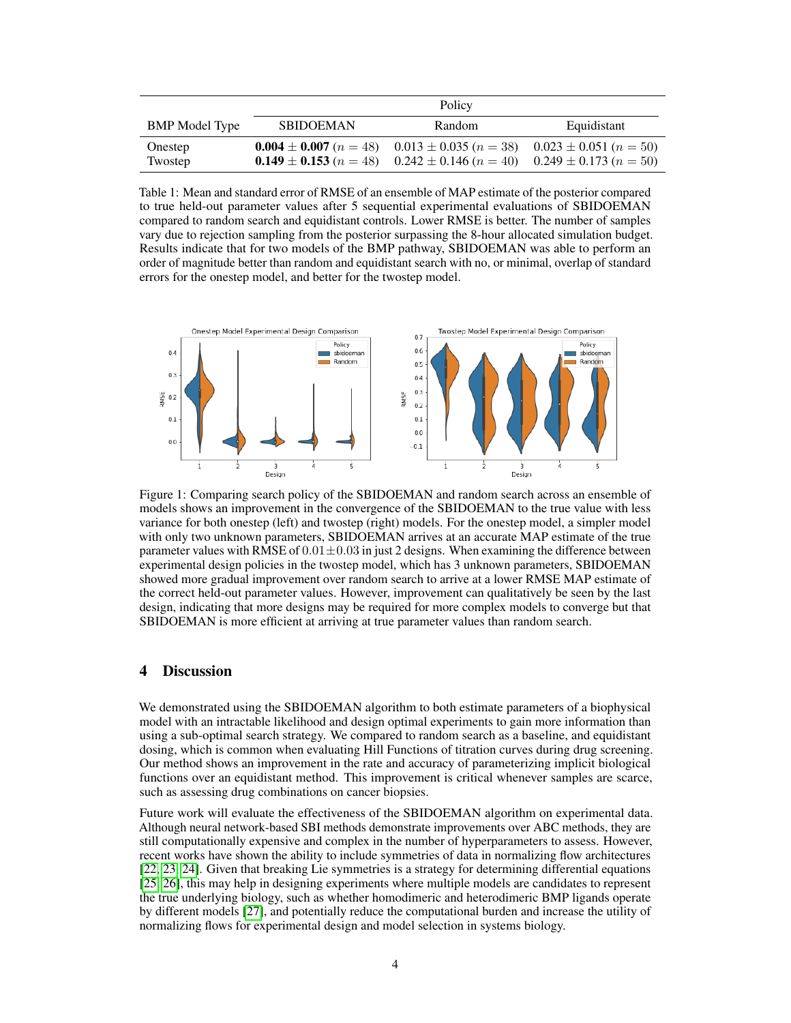<span id="page-3-0"></span>

|                       | Policy                                       |                                                                                                                                                                                         |             |
|-----------------------|----------------------------------------------|-----------------------------------------------------------------------------------------------------------------------------------------------------------------------------------------|-------------|
| <b>BMP</b> Model Type | <b>SBIDOEMAN</b>                             | Random                                                                                                                                                                                  | Equidistant |
| Onestep<br>Twostep    | <b>0.004</b> $\pm$ <b>0.007</b> ( $n = 48$ ) | $0.013 \pm 0.035$ ( $n = 38$ ) $0.023 \pm 0.051$ ( $n = 50$ )<br><b>0.149</b> $\pm$ <b>0.153</b> ( <i>n</i> = 48) 0.242 $\pm$ 0.146 ( <i>n</i> = 40) 0.249 $\pm$ 0.173 ( <i>n</i> = 50) |             |

Table 1: Mean and standard error of RMSE of an ensemble of MAP estimate of the posterior compared to true held-out parameter values after 5 sequential experimental evaluations of SBIDOEMAN compared to random search and equidistant controls. Lower RMSE is better. The number of samples vary due to rejection sampling from the posterior surpassing the 8-hour allocated simulation budget. Results indicate that for two models of the BMP pathway, SBIDOEMAN was able to perform an order of magnitude better than random and equidistant search with no, or minimal, overlap of standard errors for the onestep model, and better for the twostep model.

<span id="page-3-1"></span>

Figure 1: Comparing search policy of the SBIDOEMAN and random search across an ensemble of models shows an improvement in the convergence of the SBIDOEMAN to the true value with less variance for both onestep (left) and twostep (right) models. For the onestep model, a simpler model with only two unknown parameters, SBIDOEMAN arrives at an accurate MAP estimate of the true parameter values with RMSE of  $0.01 \pm 0.03$  in just 2 designs. When examining the difference between experimental design policies in the twostep model, which has 3 unknown parameters, SBIDOEMAN showed more gradual improvement over random search to arrive at a lower RMSE MAP estimate of the correct held-out parameter values. However, improvement can qualitatively be seen by the last design, indicating that more designs may be required for more complex models to converge but that SBIDOEMAN is more efficient at arriving at true parameter values than random search.

#### 4 Discussion

We demonstrated using the SBIDOEMAN algorithm to both estimate parameters of a biophysical model with an intractable likelihood and design optimal experiments to gain more information than using a sub-optimal search strategy. We compared to random search as a baseline, and equidistant dosing, which is common when evaluating Hill Functions of titration curves during drug screening. Our method shows an improvement in the rate and accuracy of parameterizing implicit biological functions over an equidistant method. This improvement is critical whenever samples are scarce, such as assessing drug combinations on cancer biopsies.

Future work will evaluate the effectiveness of the SBIDOEMAN algorithm on experimental data. Although neural network-based SBI methods demonstrate improvements over ABC methods, they are still computationally expensive and complex in the number of hyperparameters to assess. However, recent works have shown the ability to include symmetries of data in normalizing flow architectures [\[22,](#page-8-9) [23,](#page-8-10) [24\]](#page-8-11). Given that breaking Lie symmetries is a strategy for determining differential equations [\[25,](#page-8-12) [26\]](#page-8-13), this may help in designing experiments where multiple models are candidates to represent the true underlying biology, such as whether homodimeric and heterodimeric BMP ligands operate by different models [\[27\]](#page-8-14), and potentially reduce the computational burden and increase the utility of normalizing flows for experimental design and model selection in systems biology.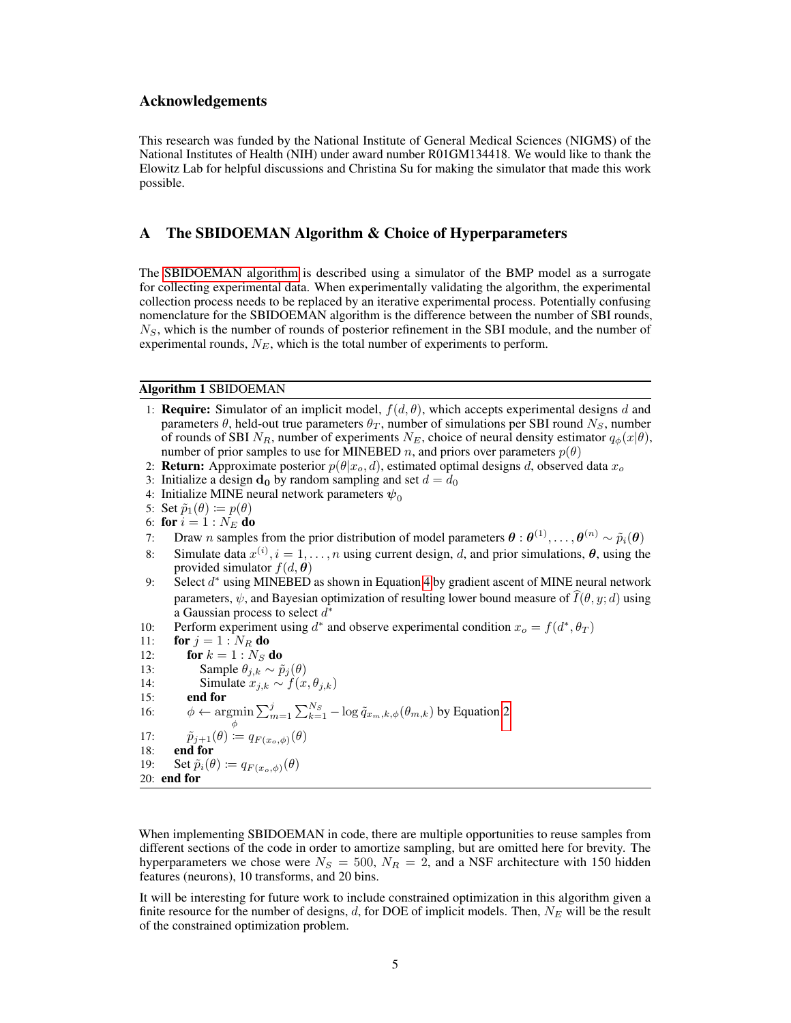#### Acknowledgements

This research was funded by the National Institute of General Medical Sciences (NIGMS) of the National Institutes of Health (NIH) under award number R01GM134418. We would like to thank the Elowitz Lab for helpful discussions and Christina Su for making the simulator that made this work possible.

# <span id="page-4-0"></span>A The SBIDOEMAN Algorithm & Choice of Hyperparameters

The [SBIDOEMAN algorithm](#page-4-1) is described using a simulator of the BMP model as a surrogate for collecting experimental data. When experimentally validating the algorithm, the experimental collection process needs to be replaced by an iterative experimental process. Potentially confusing nomenclature for the SBIDOEMAN algorithm is the difference between the number of SBI rounds,  $N<sub>S</sub>$ , which is the number of rounds of posterior refinement in the SBI module, and the number of experimental rounds,  $N_E$ , which is the total number of experiments to perform.

#### <span id="page-4-1"></span>Algorithm 1 SBIDOEMAN

- 1: **Require:** Simulator of an implicit model,  $f(d, \theta)$ , which accepts experimental designs d and parameters  $\theta$ , held-out true parameters  $\theta_T$ , number of simulations per SBI round  $N_S$ , number of rounds of SBI  $N_R$ , number of experiments  $N_E$ , choice of neural density estimator  $q_\phi(x|\theta)$ , number of prior samples to use for MINEBED n, and priors over parameters  $p(\theta)$
- 2: **Return:** Approximate posterior  $p(\theta|x_o, d)$ , estimated optimal designs d, observed data  $x_o$
- 3: Initialize a design  $d_0$  by random sampling and set  $d = d_0$
- 4: Initialize MINE neural network parameters  $\psi_0$

5: Set  $\tilde{p}_1(\theta) \coloneqq p(\theta)$ 

- 6: for  $i = 1 : N_E$  do
- 7: Draw n samples from the prior distribution of model parameters  $\theta : \theta^{(1)}, \ldots, \theta^{(n)} \sim \tilde{p}_i(\theta)$
- 8: Simulate data  $x^{(i)}$ ,  $i = 1, ..., n$  using current design, d, and prior simulations,  $\theta$ , using the provided simulator  $f(d, \theta)$
- 9: Select  $d^*$  using MINEBED as shown in Equation [4](#page-2-0) by gradient ascent of MINE neural network parameters,  $\psi$ , and Bayesian optimization of resulting lower bound measure of  $\widehat{I}(\theta, y; d)$  using a Gaussian process to select  $d^*$
- 10: Perform experiment using  $d^*$  and observe experimental condition  $x_o = f(d^*, \theta_T)$
- 11: **for**  $j = 1 : N_R$  **do**
- 
- 12: **for**  $k = 1 : N_S$  **do**<br>13: **Sample**  $\theta_{ik} \sim \hat{v}$ Sample  $θ_{j,k}$  ∼  $\tilde{p}_j(θ)$ 14: Simulate  $x_{j,k} \sim f(x, \theta_{j,k})$ 15: end for 16:  $\phi \leftarrow \operatorname{argmin} \sum_{m=1}^{j} \sum_{k=1}^{N_S} -\log \tilde{q}_{x_m,k,\phi}(\theta_{m,k})$  by Equation [2](#page-2-1) ϕ 17:  $\tilde{p}_{j+1}(\theta) \coloneqq q_{F(x_o,\phi)}(\theta)$ 18: end for 19: Set  $\tilde{p}_i(\theta) \coloneqq q_{F(x_o,\phi)}(\theta)$ 20: end for

When implementing SBIDOEMAN in code, there are multiple opportunities to reuse samples from different sections of the code in order to amortize sampling, but are omitted here for brevity. The hyperparameters we chose were  $N_S = 500$ ,  $N_R = 2$ , and a NSF architecture with 150 hidden features (neurons), 10 transforms, and 20 bins.

It will be interesting for future work to include constrained optimization in this algorithm given a finite resource for the number of designs,  $d$ , for DOE of implicit models. Then,  $N_E$  will be the result of the constrained optimization problem.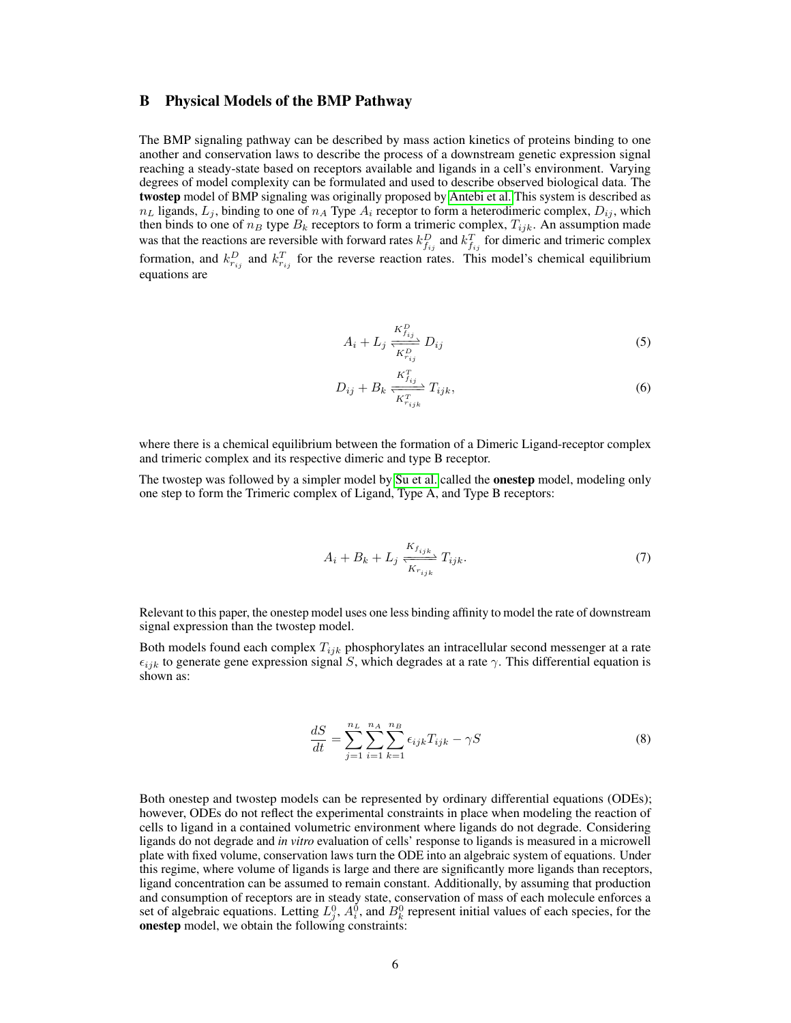#### <span id="page-5-0"></span>B Physical Models of the BMP Pathway

The BMP signaling pathway can be described by mass action kinetics of proteins binding to one another and conservation laws to describe the process of a downstream genetic expression signal reaching a steady-state based on receptors available and ligands in a cell's environment. Varying degrees of model complexity can be formulated and used to describe observed biological data. The twostep model of BMP signaling was originally proposed by [Antebi et al.](#page-7-0) This system is described as  $n_L$  ligands,  $L_j$ , binding to one of  $n_A$  Type  $A_i$  receptor to form a heterodimeric complex,  $D_{ij}$ , which then binds to one of  $n_B$  type  $B_k$  receptors to form a trimeric complex,  $T_{ijk}$ . An assumption made was that the reactions are reversible with forward rates  $k_{f_{ij}}^D$  and  $k_{f_{ij}}^T$  for dimeric and trimeric complex formation, and  $k_{r_{ij}}^D$  and  $k_{r_{ij}}^T$  for the reverse reaction rates. This model's chemical equilibrium equations are

$$
A_i + L_j \frac{K_{I_{ij}}^P}{K_{I_{ij}}^P} D_{ij}
$$
\n
$$
(5)
$$

$$
D_{ij} + B_k \frac{K_{f_{ij}}^T}{K_{r_{ijk}}^T} T_{ijk},
$$
\n
$$
(6)
$$

where there is a chemical equilibrium between the formation of a Dimeric Ligand-receptor complex and trimeric complex and its respective dimeric and type B receptor.

The twostep was followed by a simpler model by [Su et al.](#page-8-15) called the onestep model, modeling only one step to form the Trimeric complex of Ligand, Type A, and Type B receptors:

$$
A_i + B_k + L_j \frac{K_{f_{ijk}}}{K_{r_{ijk}}} T_{ijk}.
$$
\n(7)

Relevant to this paper, the onestep model uses one less binding affinity to model the rate of downstream signal expression than the twostep model.

Both models found each complex  $T_{ijk}$  phosphorylates an intracellular second messenger at a rate  $\epsilon_{ijk}$  to generate gene expression signal S, which degrades at a rate  $\gamma$ . This differential equation is shown as:

$$
\frac{dS}{dt} = \sum_{j=1}^{n_L} \sum_{i=1}^{n_A} \sum_{k=1}^{n_B} \epsilon_{ijk} T_{ijk} - \gamma S
$$
\n(8)

Both onestep and twostep models can be represented by ordinary differential equations (ODEs); however, ODEs do not reflect the experimental constraints in place when modeling the reaction of cells to ligand in a contained volumetric environment where ligands do not degrade. Considering ligands do not degrade and *in vitro* evaluation of cells' response to ligands is measured in a microwell plate with fixed volume, conservation laws turn the ODE into an algebraic system of equations. Under this regime, where volume of ligands is large and there are significantly more ligands than receptors, ligand concentration can be assumed to remain constant. Additionally, by assuming that production and consumption of receptors are in steady state, conservation of mass of each molecule enforces a set of algebraic equations. Letting  $L_j^0$ ,  $A_i^0$ , and  $B_k^0$  represent initial values of each species, for the onestep model, we obtain the following constraints: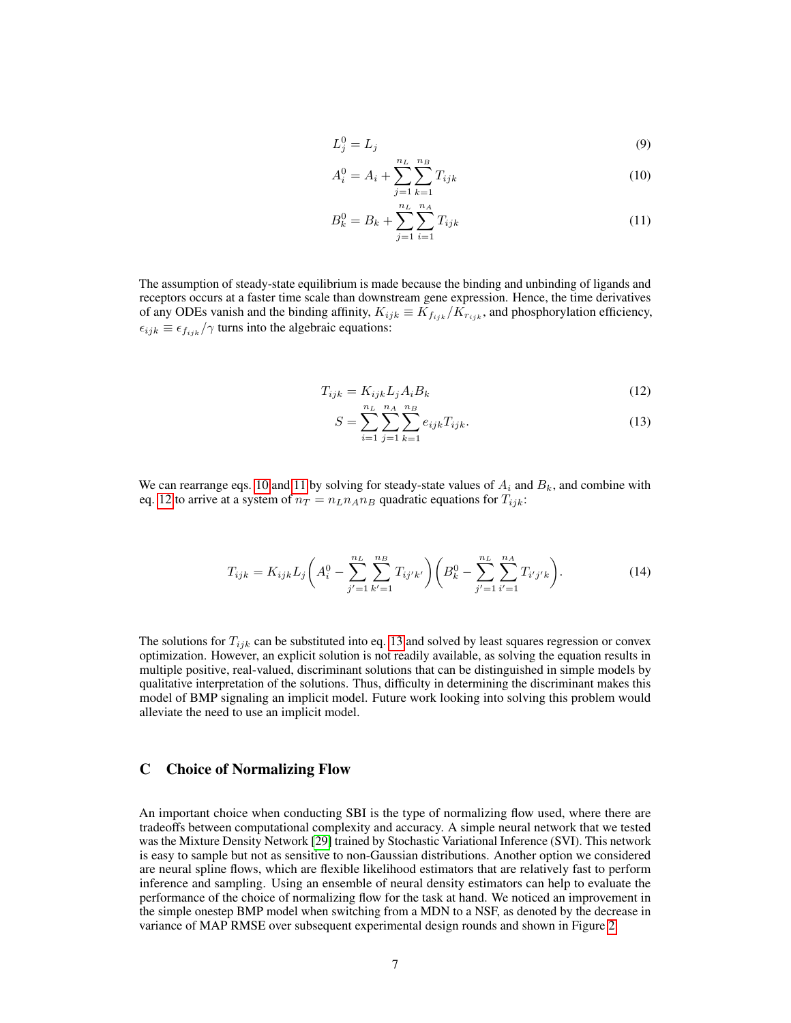$$
L_j^0 = L_j \tag{9}
$$

<span id="page-6-1"></span>
$$
A_i^0 = A_i + \sum_{j=1}^{n_L} \sum_{k=1}^{n_B} T_{ijk}
$$
 (10)

$$
B_k^0 = B_k + \sum_{j=1}^{n_L} \sum_{i=1}^{n_A} T_{ijk}
$$
 (11)

The assumption of steady-state equilibrium is made because the binding and unbinding of ligands and receptors occurs at a faster time scale than downstream gene expression. Hence, the time derivatives of any ODEs vanish and the binding affinity,  $K_{ijk} \equiv \tilde{K}_{f_{ijk}} / \tilde{K}_{r_{ijk}}$ , and phosphorylation efficiency,  $\epsilon_{ijk} \equiv \epsilon_{fijk}/\gamma$  turns into the algebraic equations:

$$
T_{ijk} = K_{ijk} L_j A_i B_k \tag{12}
$$

<span id="page-6-2"></span>
$$
S = \sum_{i=1}^{n_L} \sum_{j=1}^{n_A} \sum_{k=1}^{n_B} e_{ijk} T_{ijk}.
$$
 (13)

We can rearrange eqs. [10](#page-6-1) and [11](#page-6-1) by solving for steady-state values of  $A_i$  and  $B_k$ , and combine with eq. [12](#page-6-2) to arrive at a system of  $n_T = n_L n_A n_B$  quadratic equations for  $T_{ijk}$ :

$$
T_{ijk} = K_{ijk} L_j \left( A_i^0 - \sum_{j'=1}^{n_L} \sum_{k'=1}^{n_B} T_{ij'k'} \right) \left( B_k^0 - \sum_{j'=1}^{n_L} \sum_{i'=1}^{n_A} T_{i'j'k} \right). \tag{14}
$$

The solutions for  $T_{ijk}$  can be substituted into eq. [13](#page-6-2) and solved by least squares regression or convex optimization. However, an explicit solution is not readily available, as solving the equation results in multiple positive, real-valued, discriminant solutions that can be distinguished in simple models by qualitative interpretation of the solutions. Thus, difficulty in determining the discriminant makes this model of BMP signaling an implicit model. Future work looking into solving this problem would alleviate the need to use an implicit model.

#### <span id="page-6-0"></span>C Choice of Normalizing Flow

An important choice when conducting SBI is the type of normalizing flow used, where there are tradeoffs between computational complexity and accuracy. A simple neural network that we tested was the Mixture Density Network [\[29\]](#page-8-16) trained by Stochastic Variational Inference (SVI). This network is easy to sample but not as sensitive to non-Gaussian distributions. Another option we considered are neural spline flows, which are flexible likelihood estimators that are relatively fast to perform inference and sampling. Using an ensemble of neural density estimators can help to evaluate the performance of the choice of normalizing flow for the task at hand. We noticed an improvement in the simple onestep BMP model when switching from a MDN to a NSF, as denoted by the decrease in variance of MAP RMSE over subsequent experimental design rounds and shown in Figure [2.](#page-7-12)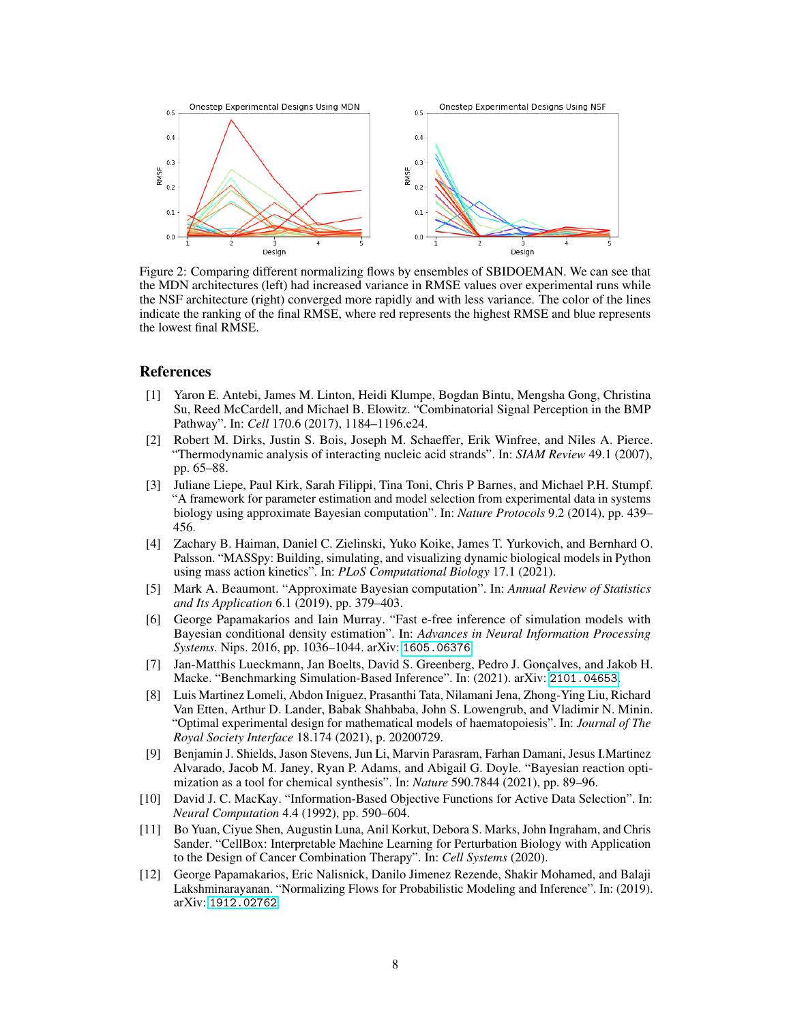<span id="page-7-12"></span>

Figure 2: Comparing different normalizing flows by ensembles of SBIDOEMAN. We can see that the MDN architectures (left) had increased variance in RMSE values over experimental runs while the NSF architecture (right) converged more rapidly and with less variance. The color of the lines indicate the ranking of the final RMSE, where red represents the highest RMSE and blue represents the lowest final RMSE.

#### References

- <span id="page-7-0"></span>[1] Yaron E. Antebi, James M. Linton, Heidi Klumpe, Bogdan Bintu, Mengsha Gong, Christina Su, Reed McCardell, and Michael B. Elowitz. "Combinatorial Signal Perception in the BMP Pathway". In: *Cell* 170.6 (2017), 1184–1196.e24.
- <span id="page-7-1"></span>[2] Robert M. Dirks, Justin S. Bois, Joseph M. Schaeffer, Erik Winfree, and Niles A. Pierce. "Thermodynamic analysis of interacting nucleic acid strands". In: *SIAM Review* 49.1 (2007), pp. 65–88.
- <span id="page-7-2"></span>[3] Juliane Liepe, Paul Kirk, Sarah Filippi, Tina Toni, Chris P Barnes, and Michael P.H. Stumpf. "A framework for parameter estimation and model selection from experimental data in systems biology using approximate Bayesian computation". In: *Nature Protocols* 9.2 (2014), pp. 439– 456.
- <span id="page-7-3"></span>[4] Zachary B. Haiman, Daniel C. Zielinski, Yuko Koike, James T. Yurkovich, and Bernhard O. Palsson. "MASSpy: Building, simulating, and visualizing dynamic biological models in Python using mass action kinetics". In: *PLoS Computational Biology* 17.1 (2021).
- <span id="page-7-4"></span>[5] Mark A. Beaumont. "Approximate Bayesian computation". In: *Annual Review of Statistics and Its Application* 6.1 (2019), pp. 379–403.
- <span id="page-7-5"></span>[6] George Papamakarios and Iain Murray. "Fast e-free inference of simulation models with Bayesian conditional density estimation". In: *Advances in Neural Information Processing Systems*. Nips. 2016, pp. 1036–1044. arXiv: [1605.06376](https://arxiv.org/abs/1605.06376).
- <span id="page-7-6"></span>[7] Jan-Matthis Lueckmann, Jan Boelts, David S. Greenberg, Pedro J. Gonçalves, and Jakob H. Macke. "Benchmarking Simulation-Based Inference". In: (2021). arXiv: [2101.04653](https://arxiv.org/abs/2101.04653).
- <span id="page-7-7"></span>[8] Luis Martinez Lomeli, Abdon Iniguez, Prasanthi Tata, Nilamani Jena, Zhong-Ying Liu, Richard Van Etten, Arthur D. Lander, Babak Shahbaba, John S. Lowengrub, and Vladimir N. Minin. "Optimal experimental design for mathematical models of haematopoiesis". In: *Journal of The Royal Society Interface* 18.174 (2021), p. 20200729.
- <span id="page-7-8"></span>[9] Benjamin J. Shields, Jason Stevens, Jun Li, Marvin Parasram, Farhan Damani, Jesus I.Martinez Alvarado, Jacob M. Janey, Ryan P. Adams, and Abigail G. Doyle. "Bayesian reaction optimization as a tool for chemical synthesis". In: *Nature* 590.7844 (2021), pp. 89–96.
- <span id="page-7-9"></span>[10] David J. C. MacKay. "Information-Based Objective Functions for Active Data Selection". In: *Neural Computation* 4.4 (1992), pp. 590–604.
- <span id="page-7-10"></span>[11] Bo Yuan, Ciyue Shen, Augustin Luna, Anil Korkut, Debora S. Marks, John Ingraham, and Chris Sander. "CellBox: Interpretable Machine Learning for Perturbation Biology with Application to the Design of Cancer Combination Therapy". In: *Cell Systems* (2020).
- <span id="page-7-11"></span>[12] George Papamakarios, Eric Nalisnick, Danilo Jimenez Rezende, Shakir Mohamed, and Balaji Lakshminarayanan. "Normalizing Flows for Probabilistic Modeling and Inference". In: (2019). arXiv: [1912.02762](https://arxiv.org/abs/1912.02762).